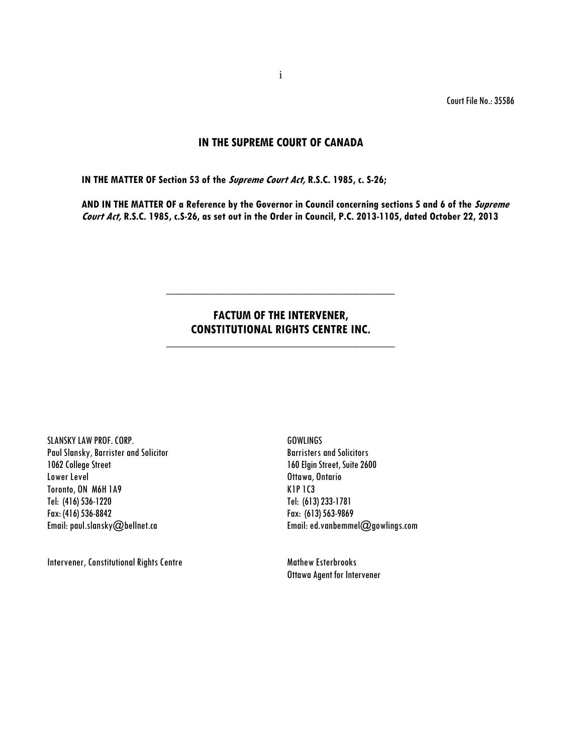Court File No.: 35586

# **IN THE SUPREME COURT OF CANADA**

**IN THE MATTER OF Section 53 of the Supreme Court Act, R.S.C. 1985, c. S-26;**

**AND IN THE MATTER OF a Reference by the Governor in Council concerning sections 5 and 6 of the Supreme Court Act, R.S.C. 1985, c.S-26, as set out in the Order in Council, P.C. 2013-1105, dated October 22, 2013** 

# **FACTUM OF THE INTERVENER, CONSTITUTIONAL RIGHTS CENTRE INC.**

**\_\_\_\_\_\_\_\_\_\_\_\_\_\_\_\_\_\_\_\_\_\_\_\_\_\_\_\_\_\_\_\_\_\_\_\_\_\_\_\_\_**

**\_\_\_\_\_\_\_\_\_\_\_\_\_\_\_\_\_\_\_\_\_\_\_\_\_\_\_\_\_\_\_\_\_\_\_\_\_\_\_\_\_**

SLANSKY LAW PROF. CORP. The contract of the contract of the GOWLINGS Paul Slansky, Barrister and Solicitor Barristers and Solicitors 1062 College Street 160 Elgin Street, Suite 2600 Lower Level **Contact Contact Contact Contact Contact Contact Contact Contact Contact Contact Contact Contact Contact Contact Contact Contact Contact Contact Contact Contact Contact Contact Contact Contact Contact Contact C** Toronto, ON M6H 1A9 K1P 1C3 Tel: (416) 536-1220 Tel: (613) 233-1781

Intervener, Constitutional Rights Centre Mathew Esterbrooks

Fax: (613) 563-9869 Email: paul.slansky@bellnet.ca Email[: ed.vanbemmel@gowlings.com](mailto:ed.vanbemmel@gowlings.com)

Ottawa Agent for Intervener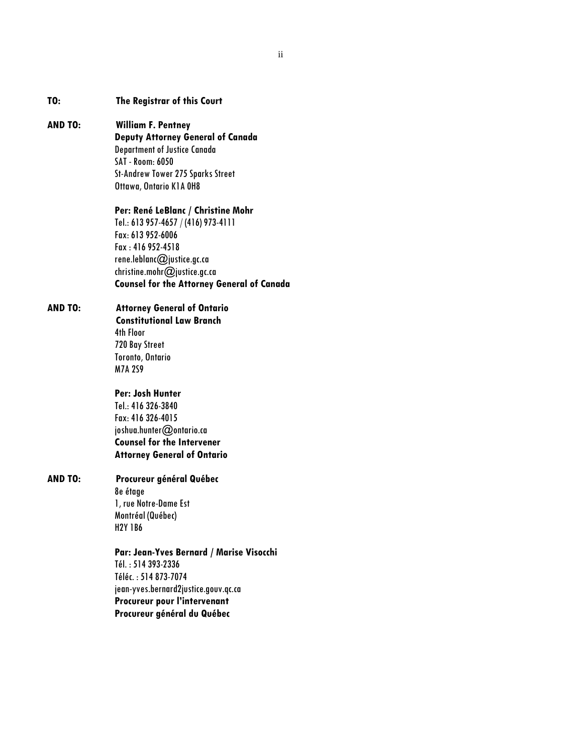| The Registrar of this Court |  |
|-----------------------------|--|
|                             |  |

# **AND TO: William F. Pentney Deputy Attorney General of Canada**  Department of Justice Canada SAT -Room: 6050 St-Andrew Tower 275 Sparks Street Ottawa, Ontario K1A 0H8

#### **Per: René LeBlanc / Christine Mohr**

Tel.: 613 957-4657 / (416) 973-4111 Fax: 613 952-6006 Fax : 416 952-4518 rene.leblanc@justice.gc.ca christine.mohr@justice.gc.ca **Counsel for the Attorney General of Canada** 

# **AND TO: Attorney General of Ontario**

**Constitutional Law Branch**  4th Floor 720 Bay Street Toronto, Ontario M7A 2S9

**Per: Josh Hunter**  Tel.: 416 326-3840 Fax: 416 326-4015 joshua.hunter@ontario.ca **Counsel for the Intervener** 

**Attorney General of Ontario** 

# **AND TO: Procureur général Québec**

8e étage 1, rue Notre-Dame Est Montréal (Québec) H2Y 1B6

**Par: Jean-Yves Bernard / Marise Visocchi**  Tél. : 514 393-2336 Téléc. : 514 873-7074 jean-yves.bernard2justice.gouv.qc.ca **Procureur pour l'intervenant Procureur général du Québec**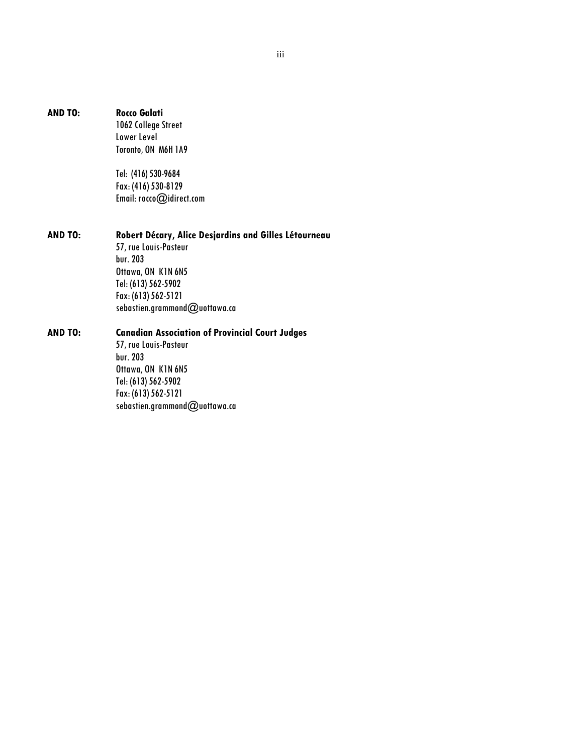### **AND TO: Rocco Galati**

1062 College Street Lower Level Toronto, ON M6H 1A9

Tel: (416) 530-9684 Fax: (416) 530-8129 Email[: rocco@idirect.com](mailto:rocco@idirect.com)

**AND TO: Robert Décary, Alice Desjardins and Gilles Létourneau** 57, rue Louis-Pasteur bur. 203 Ottawa, ON K1N 6N5 Tel: (613) 562-5902

> Fax: (613) 562-5121 sebastien.grammond@uottawa.ca

# **AND TO: Canadian Association of Provincial Court Judges**

57, rue Louis-Pasteur bur. 203 Ottawa, ON K1N 6N5 Tel: (613) 562-5902 Fax: (613) 562-5121 sebastien.grammond@uottawa.ca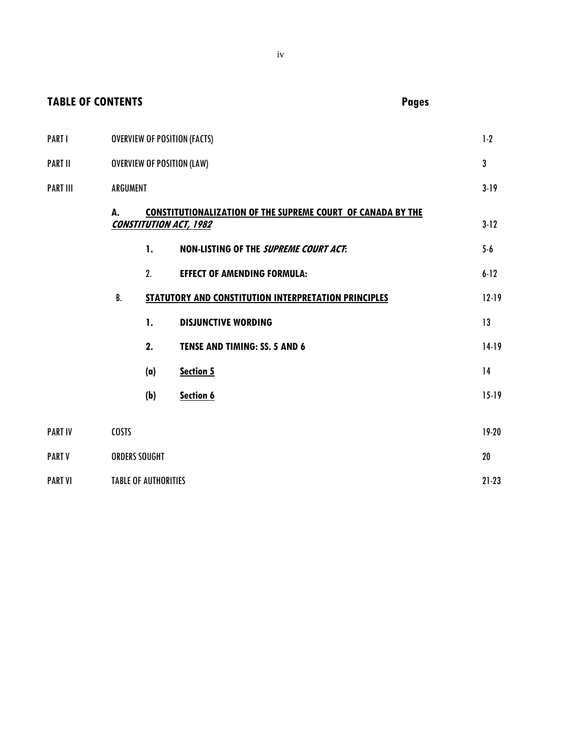| <b>TABLE OF CONTENTS</b> |              |                             |                                                                                                     | <b>Pages</b> |           |
|--------------------------|--------------|-----------------------------|-----------------------------------------------------------------------------------------------------|--------------|-----------|
| <b>PARTI</b>             |              |                             | <b>OVERVIEW OF POSITION (FACTS)</b>                                                                 |              | 1.2       |
| <b>PART II</b>           |              |                             | <b>OVERVIEW OF POSITION (LAW)</b>                                                                   |              | 3         |
| <b>PART III</b>          | ARGUMENT     |                             |                                                                                                     |              | $3 - 19$  |
|                          | А.           |                             | <b>CONSTITUTIONALIZATION OF THE SUPREME COURT OF CANADA BY THE</b><br><b>CONSTITUTION ACT, 1982</b> |              | 312       |
|                          |              | 1.                          | NON-LISTING OF THE SUPREME COURT ACT:                                                               |              | $5-6$     |
|                          |              | 2.                          | <b>EFFECT OF AMENDING FORMULA:</b>                                                                  |              | $6 - 12$  |
|                          | B.           |                             | STATUTORY AND CONSTITUTION INTERPRETATION PRINCIPLES                                                |              | $12 - 19$ |
|                          |              | 1.                          | <b>DISJUNCTIVE WORDING</b>                                                                          |              | 13        |
|                          |              | 2.                          | TENSE AND TIMING: SS. 5 AND 6                                                                       |              | $14-19$   |
|                          |              | (a)                         | Section 5                                                                                           |              | 14        |
|                          |              | (b)                         | Section 6                                                                                           |              | $15 - 19$ |
| <b>PART IV</b>           | <b>COSTS</b> |                             |                                                                                                     |              | 19 20     |
| <b>PART V</b>            |              | <b>ORDERS SOUGHT</b>        |                                                                                                     |              | 20        |
| <b>PART VI</b>           |              | <b>TABLE OF AUTHORITIES</b> |                                                                                                     |              | $21 - 23$ |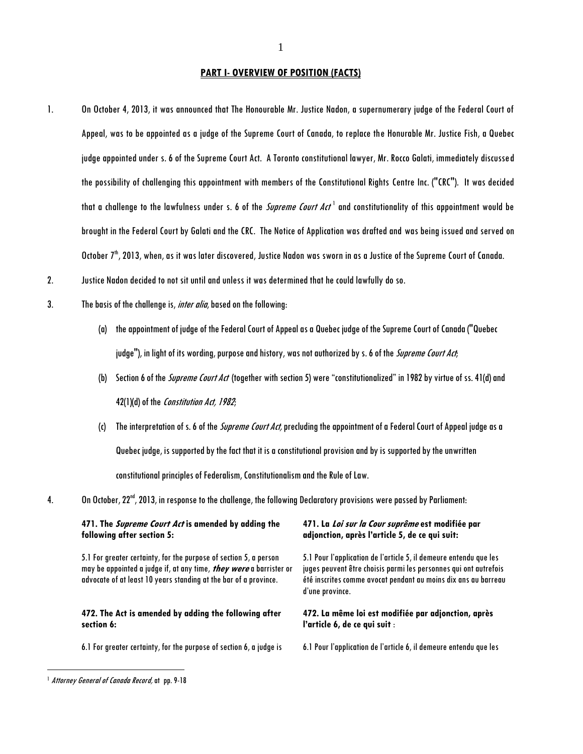#### **PART I- OVERVIEW OF POSITION (FACTS)**

- 1. On October 4, 2013, it was announced that The Honourable Mr. Justice Nadon, a supernumerary judge of the Federal Court of Appeal, was to be appointed as a judge of the Supreme Court of Canada, to replace the Honurable Mr. Justice Fish, a Quebec judge appointed under s. 6 of the Supreme Court Act. A Toronto constitutional lawyer, Mr. Rocco Galati, immediately discussed the possibility of challenging this appointment with members of the Constitutional Rights Centre Inc. ("CRC"). It was decided that a challenge to the lawfulness under s. 6 of the *Supreme Court Act*  $^1$  and constitutionality of this appointment would be brought in the Federal Court by Galati and the CRC. The Notice of Application was drafted and was being issued and served on October  $7<sup>th</sup>$ , 2013, when, as it was later discovered, Justice Nadon was sworn in as a Justice of the Supreme Court of Canada.
- 2. Justice Nadon decided to not sit until and unless it was determined that he could lawfully do so.
- 3. The basis of the challenge is, *inter alia*, based on the following:
	- (a) the appointment of judge of the Federal Court of Appeal as a Quebec judge of the Supreme Court of Canada ("Quebec judge"), in light of its wording, purpose and history, was not authorized by s. 6 of the Supreme Court Act;
	- (b) Section 6 of the *Supreme Court Act* (together with section 5) were "constitutionalized" in 1982 by virtue of ss. 41(d) and 42(1)(d) of the Constitution Act, 1982;
	- (c) The interpretation of s. 6 of the *Supreme Court Act*, precluding the appointment of a Federal Court of Appeal judge as a Quebec judge, is supported by the fact that it is a constitutional provisionand by is supported by the unwritten constitutional principles of Federalism, Constitutionalism and the Rule of Law.
- 4. On October, 22nd, 2013, in response to the challenge, thefollowing Declaratory provisions were passedby Parliament:

# **471. The Supreme Court Act is amended by adding the following after section 5:**

5.1 For greater certainty, for the purpose of section 5, a person may be appointed a judge if, at any time, **they were** a barrister or advocate of at least 10 years standing at the bar of a province.

### **472. The Act is amended by adding the following after section 6:**

6.1 For greater certainty, for the purpose of section 6, a judge is

### **471. La Loi sur la Cour suprême est modifiée par adjonction, après l'article 5, de ce qui suit:**

5.1 Pour l'application de l'article 5, il demeure entendu que les juges peuvent être choisis parmi les personnes qui ont autrefois été inscrites comme avocat pendant au moins dix ans au barreau d'une province.

### **472. La même loi est modifiée par adjonction, après l'article 6, de ce qui suit** :

6.1 Pour l'application de l'article 6, il demeure entendu que les

<sup>&</sup>lt;sup>1</sup> Attorney General of Canada Record, at pp. 9-18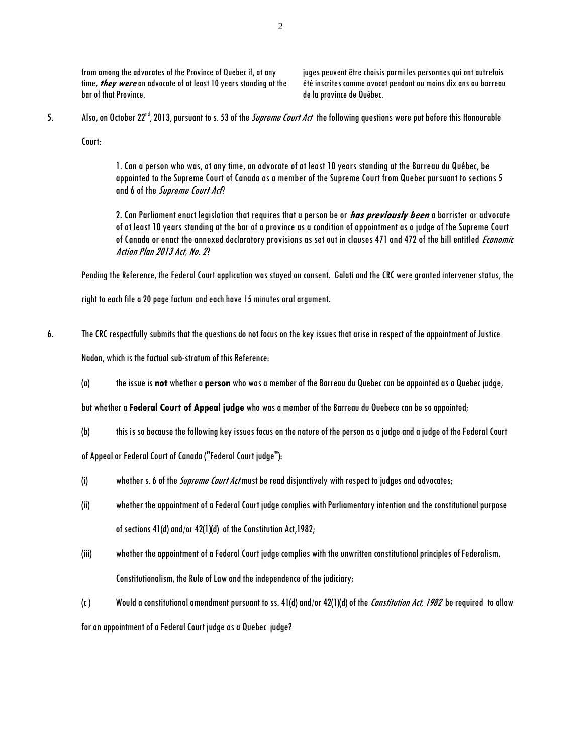from among the advocates of the Province of Quebec if, at any time, **they were** an advocate of at least 10 years standing at the bar of that Province.

juges peuvent être choisis parmi les personnes qui ont autrefois été inscrites comme avocat pendant au moins dix ans au barreau de la province de Québec.

5. Also, on October 22<sup>nd</sup>, 2013, pursuant to s. 53 of the *Supreme Court Act* the following questions were put before this Honourable

Court:

1. Can a person who was, at any time, an advocate of at least 10 years standing at the Barreau du Québec, be appointed to the Supreme Court of Canada as a member of the Supreme Court from Quebec pursuant to sections 5 and 6 of the Supreme Court Act?

2. Can Parliament enact legislation that requires that a person be or **has previously been** a barrister or advocate of at least 10 years standing at the bar of a province as a condition of appointment as a judge of the Supreme Court of Canada or enact the annexed declaratory provisions as set out in clauses 471 and 472 of the bill entitled Economic Action Plan 2013 Act, No. 2?

Pending the Reference, the Federal Court application was stayed on consent. Galati and the CRC were granted intervener status, the

right to each file a 20 page factum and each have 15 minutes oral argument.

6. The CRC respectfully submits that the questions do not focus on the key issues that arise in respect of the appointment of Justice

Nadon, which is the factual sub-stratum of this Reference:

(a) the issue is **not** whether a **person** who was a member of the Barreau du Quebec can be appointed as a Quebec judge,

but whether a **Federal Court of Appeal judge** who was a member of the Barreau du Quebece can be so appointed;

(b) this is so because the following key issues focus on the nature of the person as a judge and a judge of the Federal Court

of Appeal or Federal Court of Canada ("Federal Court judge"):

- (i) whether s. 6 of the *Supreme Court Act* must be read disjunctively with respect to judges and advocates;
- (ii) whether the appointment of a Federal Court judge complies with Parliamentary intention and the constitutional purpose of sections 41(d) and/or 42(1)(d) of the Constitution Act,1982;
- (iii) whether the appointment of a Federal Court judge complies with the unwritten constitutional principles of Federalism, Constitutionalism, the Rule of Law and the independence of the judiciary;
- (c) Would a constitutional amendment pursuant to ss. 41(d) and/or 42(1)(d) of the Constitution Act, 1982 be required to allow

for an appointment of a Federal Court judge as a Quebec judge?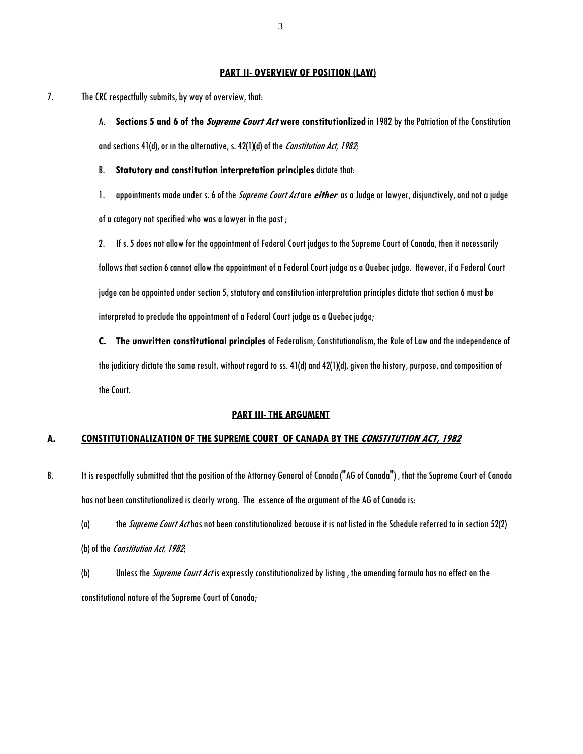#### **PART II- OVERVIEW OF POSITION (LAW)**

7. The CRC respectfully submits, by way of overview, that:

A. **Sections 5 and 6 of the Supreme Court Act were constitutionlized** in 1982 by the Patriation of the Constitution and sections 41(d), or in the alternative, s. 42(1)(d) of the Constitution Act, 1982;

B. **Statutory and constitution interpretation principles**dictate that:

1. appointments made under s. 6 of the Supreme Court Actare **either** as a Judge or lawyer, disjunctively, and not a judge

of a category not specified who was a lawyer in the past ;

2. If s. 5 does not allow for the appointment of Federal Court judges to the Supreme Court of Canada, then it necessarily follows that section 6 cannot allow the appointment of a Federal Court judge as a Quebec judge. However, if a Federal Court judge can be appointed under section 5, statutory and constitution interpretation principles dictate that section 6 must be interpreted to preclude the appointment of a Federal Court judge as a Quebec judge;

**C. The unwritten constitutional principles** of Federalism, Constitutionalism, the Rule of Law and the independence of the judiciary dictate the same result, without regard to ss. 41(d) and 42(1)(d), given the history, purpose, and composition of the Court.

#### **PART III- THE ARGUMENT**

#### **A. CONSTITUTIONALIZATION OF THE SUPREME COURT OF CANADA BY THE CONSTITUTION ACT, 1982**

8. It is respectfully submitted that the position of the Attorney General of Canada ("AG of Canada"), that the Supreme Court of Canada has not been constitutionalized is clearly wrong. The essence of the argument of the AG of Canada is:

(a) the *Supreme Court Act* has not been constitutionalized because it is not listed in the Schedule referred to in section 52(2) (b) of the *Constitution Act*, 1982;

(b) Unless the *Supreme Court Act* is expressly constitutionalized by listing, the amending formula has no effect on the constitutional nature of the Supreme Court of Canada;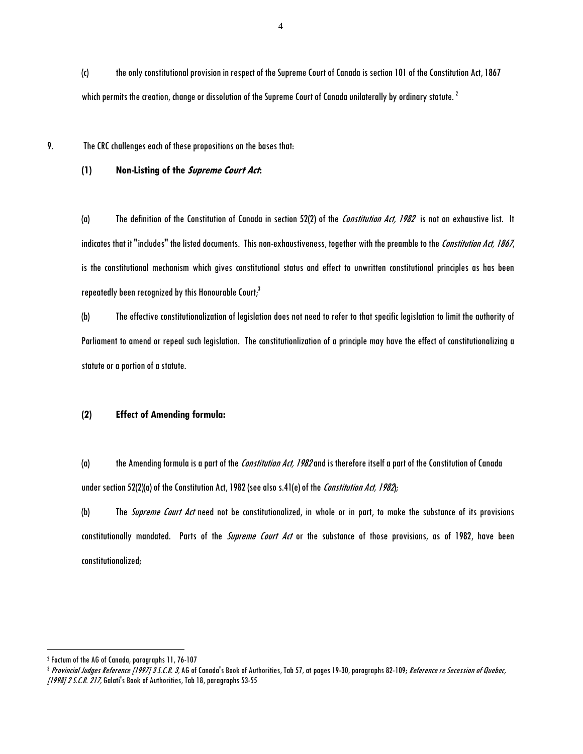(c) the only constitutional provision in respect of the Supreme Court of Canada is section 101 of the Constitution Act, 1867 which permits the creation, change or dissolution of the Supreme Court of Canada unilaterally by ordinary statute.  $^2$ 

9. The CRC challenges each of these propositionson the bases that:

### **(1) Non-Listing of the Supreme Court Act:**

(a) The definition of the Constitution of Canada in section 52(2) of the Constitution Act, 1982 is not an exhaustive list. It indicates that it "includes" the listed documents. This non-exhaustiveness, together with the preamble to the Constitution Act, 1867, is the constitutional mechanism which gives constitutional status and effect to unwritten constitutional principles as has been repeatedly been recognized by this Honourable Court; $<sup>3</sup>$ </sup>

(b) The effective constitutionalization of legislation does not need to refer to that specific legislation to limit the authority of Parliament to amend or repeal such legislation. The constitutionlization of a principle may have the effect of constitutionalizing a statute or a portion of a statute.

### **(2) Effect of Amending formula:**

(a) the Amending formula is a part of the *Constitution Act, 1982* and is therefore itself a part of the Constitution of Canada under section 52(2)(a) of the Constitution Act, 1982 (see also s.41(e) of the Constitution Act, 1982);

(b) The *Supreme Court Act* need not be constitutionalized, in whole or in part, to make the substance of its provisions constitutionally mandated. Parts of the *Supreme Court Act* or the substance of those provisions, as of 1982, have been constitutionalized;

<sup>2</sup> Factum of the AG of Canada, paragraphs 11, 76-107

<sup>&</sup>lt;sup>3</sup> Provincial Judges Reference [1997] 3 S.C.R. 3, AG of Canada's Book of Authorities, Tab 57, at pages 19-30, paragraphs 82-109; Reference re Secession of Quebec, [1998] 2 S.C.R. 217, Galati's Book of Authorities, Tab 18, paragraphs 53-55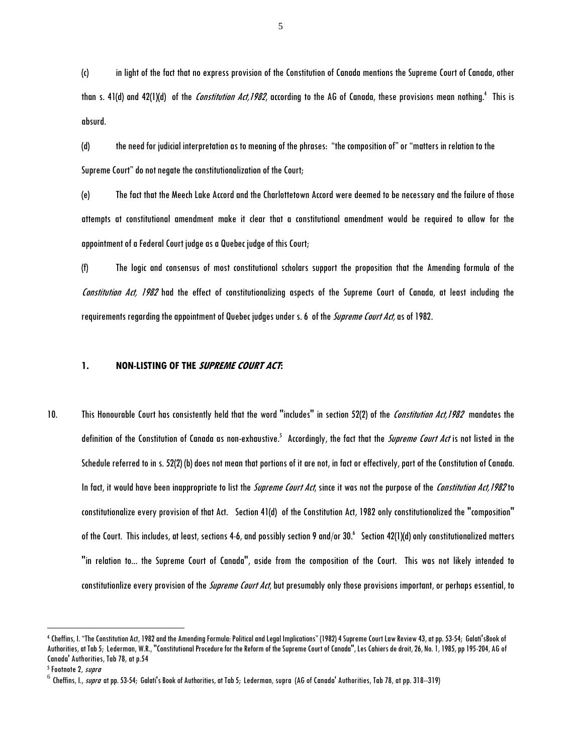(c) in light of the fact that no express provision of the Constitution of Canada mentions the Supreme Court of Canada, other than s. 41(d) and 42(1)(d) of the *Constitution Act,1982*, according to the AG of Canada, these provisions mean nothing.<sup>4</sup> This is absurd.

(d) the need for judicial interpretation as to meaning of the phrases: "the composition of" or "matters in relation to the Supreme Court" do not negate the constitutionalization of the Court;

(e) The fact that the Meech Lake Accord and the Charlottetown Accord were deemed to be necessary and the failure of those attempts at constitutional amendment make it clear that a constitutional amendment would be required to allow for the appointment of a Federal Court judge as a Quebec judge of this Court;

(f) The logic and consensus of most constitutional scholars support the proposition that the Amending formula of the Constitution Act, 1982 had the effect of constitutionalizing aspects of the Supreme Court of Canada, at least including the requirements regarding the appointment of Quebec judges under s. 6 of the *Supreme Court Act,* as of 1982.

# **1. NON-LISTING OF THE SUPREME COURT ACT:**

10. This Honourable Court has consistently held that the word "includes" in section 52(2) of the Constitution Act, 1982 mandates the definition of the Constitution of Canada as non-exhaustive.<sup>5</sup> Accordingly, the fact that the *Supreme Court Act* is not listed in the Schedule referred to in s. 52(2) (b) does not mean that portions of it are not, in fact or effectively, part of the Constitution of Canada. In fact, it would have been inappropriate to list the *Supreme Court Act*, since it was not the purpose of the Constitution Act, 1982 to constitutionalize every provision of that Act. Section 41(d) of the Constitution Act, 1982 only constitutionalized the "composition" of the Court. This includes, at least, sections 4-6, and possibly section 9 and/or 30.6 Section 42(1)(d) only constitutionalized matters "in relation to... the Supreme Court of Canada", aside from the composition of the Court. This was not likely intended to constitutionlize every provision of the *Supreme Court Act*, but presumably only those provisions important, or perhaps essential, to

<sup>4</sup> Cheffins, I. "The Constitution Act, 1982 and the Amending Formula: Political and Legal Implications" (1982) 4 Supreme Court Law Review 43, at pp. 53-54; Galati'sBook of Authorities, at Tab 5; Lederman, W.R., "Constitutional Procedure for the Reform of the Supreme Court of Canada", Les Cahiers de droit, 26, No. 1, 1985, pp 195-204, AG of Canada' Authorities, Tab 78, at p.54

<sup>&</sup>lt;sup>5</sup> Footnote 2, *supra* 

 $^6$  Cheffins, I., *supra* at pp. 53-54; Galati's Book of Authorities, at Tab 5; Lederman, supra (AG of Canada' Authorities, Tab 78, at pp. 318--319)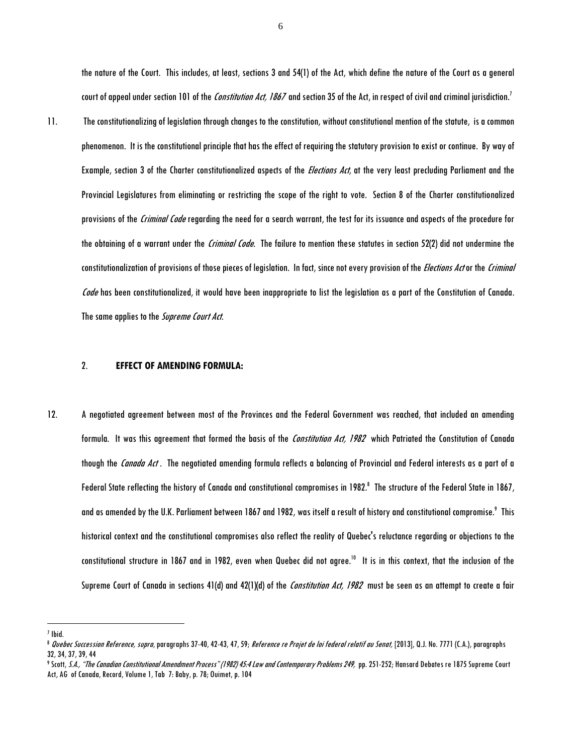the nature of the Court. This includes, at least, sections 3 and 54(1) of the Act, which define the nature of the Court as a general court of appeal under section 101 of the Constitution Act, 1867 and section 35 of the Act, in respect of civil and criminal jurisdiction.<sup>7</sup>

11. The constitutionalizing of legislation through changes to the constitution, without constitutional mention of the statute, is a common phenomenon. It is the constitutional principle that has the effect of requiring the statutory provisionto exist or continue. By way of Example, section 3 of the Charter constitutionalized aspects of the *Elections Act*, at the very least precluding Parliament and the Provincial Legislatures from eliminating or restricting the scope of the right to vote. Section 8 of the Charter constitutionalized provisions of the Criminal Code regarding the need for a search warrant, the test for its issuance and aspects of the procedure for the obtaining of a warrant under the *Criminal Code*. The failure to mention these statutes in section 52(2) did not undermine the constitutionalization of provisions of those pieces of legislation. In fact, since not every provision of the *Elections Act* or the Criminal Code has been constitutionalized, it would have been inappropriate to list the legislation as a part of the Constitution of Canada. The same applies to the Supreme Court Act.

#### 2. **EFFECT OF AMENDING FORMULA:**

12. A negotiated agreement between most of the Provinces and the Federal Government was reached, that included an amending formula. It was this agreement that formed the basis of the Constitution Act, 1982 which Patriated the Constitution of Canada though the Canada Act. The negotiated amending formula reflects a balancing of Provincial and Federal interests as a part of a Federal State reflecting the history of Canada and constitutional compromises in 1982. $^{\rm 8}$  The structure of the Federal State in 1867, and as amended by the U.K. Parliament between 1867 and 1982, was itself a result of history and constitutional compromise. $^{\circ}$  This historical context and the constitutional compromises also reflect the reality of Quebec's reluctance regarding or objections to the constitutional structure in 1867 and in 1982, even when Quebec did not agree. $^{10}$  It is in this context, that the inclusion of the Supreme Court of Canada in sections 41(d) and 42(1)(d) of the *Constitution Act, 1982* must be seen as an attempt to create a fair

<sup>7</sup> Ibid.

<sup>&</sup>lt;sup>8</sup> Quebec Succession Reference, supra, paragraphs 37-40, 42-43, 47, 59; Reference re Projet de loi federal relatif au Senat, [2013], Q.J. No. 7771 (C.A.), paragraphs 32, 34, 37, 39, 44

<sup>&</sup>lt;sup>9</sup> Scott, *S.A., "The Canadian Constitutional Amendment Process" (1982) 45:4 Law and Contemporary Problems 249, <code>pp. 251-252;</code> Hansard Debates re 1875 Supreme Court* Act, AG of Canada, Record, Volume 1, Tab 7: Baby, p. 78; Ouimet, p. 104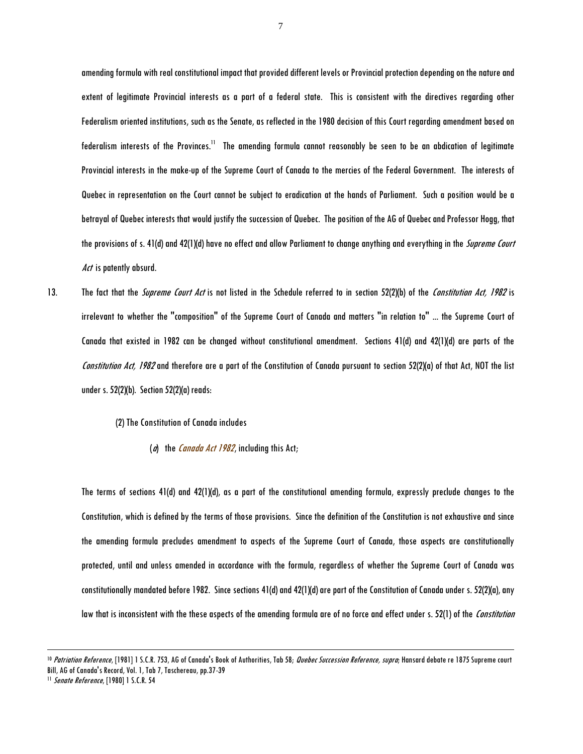amending formula with real constitutional impact that provided different levels or Provincial protection depending on the nature and extent of legitimate Provincial interests as a part of a federal state. This is consistent with the directives regarding other Federalism oriented institutions, such as the Senate, as reflected in the 1980 decision of this Court regarding amendment based on federalism interests of the Provinces.<sup>11</sup> The amending formula cannot reasonably be seen to be an abdication of legitimate Provincial interests in the make-up of the Supreme Court of Canada to the mercies of the Federal Government. The interests of Quebec in representation on the Court cannot be subject to eradication at the hands of Parliament. Such a position would be a betrayal of Quebec interests that would justify the succession of Quebec. The position of the AG of Quebec and Professor Hogg, that the provisions of s. 41(d) and 42(1)(d) have no effect and allow Parliament to change anything and everything in the *Supreme Court* Act is patently absurd.

13. The fact that the *Supreme Court Act* is not listed in the Schedule referred to in section 52(2)(b) of the *Constitution Act, 1982* is irrelevant to whether the "composition" of the Supreme Court of Canada and matters "in relation to" ... the Supreme Court of Canada that existed in 1982 can be changed without constitutional amendment. Sections 41(d) and 42(1)(d) are parts of the Constitution Act, 1982 and therefore are a part of the Constitution of Canada pursuant to section 52(2)(a) of that Act, NOT the list under s. 52(2)(b). Section 52(2)(a) reads:

(2) The Constitution of Canada includes

( $a$ ) the *Canada Act 1982*, including this Act;

The terms of sections 41(d) and 42(1)(d), as a part of the constitutional amending formula, expressly preclude changes to the Constitution, which is defined by the terms of those provisions. Since the definition of the Constitution is not exhaustive and since the amending formula precludes amendment to aspects of the Supreme Court of Canada, those aspects are constitutionally protected, until and unless amended in accordance with the formula, regardless of whether the Supreme Court of Canada was constitutionally mandated before 1982. Since sections 41(d) and 42(1)(d) are part of the Constitution of Canada under s. 52(2)(a), any law that is inconsistent with the these aspects of the amending formula are of no force and effect under s. 52(1) of the *Constitution* 

<sup>&</sup>lt;sup>10</sup> Patriation Reference, [1981] 1 S.C.R. 753, AG of Canada's Book of Authorities, Tab 58; Quebec Succession Reference, supra; Hansard debate re 1875 Supreme court Bill, AG of Canada's Record, Vol. 1, Tab 7, Taschereau, pp.37-39

<sup>&</sup>lt;sup>11</sup> Senate Reference, [1980] 1 S.C.R. 54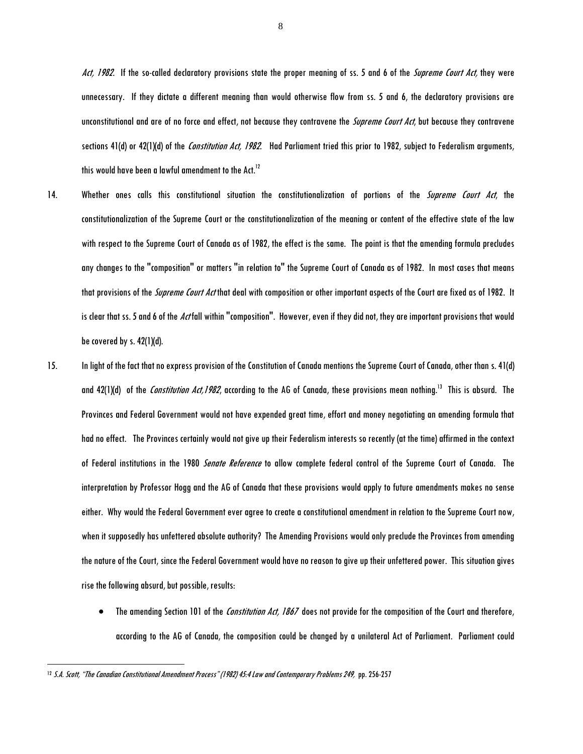Act, 1982. If the so-called declaratory provisions state the proper meaning of ss. 5 and 6 of the Supreme Court Act, they were unnecessary. If they dictate a different meaning than would otherwise flow from ss. 5 and 6, the declaratory provisions are unconstitutional and are of no force and effect, not because they contravene the *Supreme Court Act*, but because they contravene sections 41(d) or 42(1)(d) of the *Constitution Act, 1982*. Had Parliament tried this prior to 1982, subject to Federalism arguments, this would have been a lawful amendment to the Act. $^{12}$ 

- 14. Whether ones calls this constitutional situation the constitutionalization of portions of the *Supreme Court Act*, the constitutionalization of the Supreme Court or the constitutionalization of the meaning or content of the effective state of the law with respect to the Supreme Court of Canada as of 1982, the effect is the same. The point is that the amending formula precludes any changes to the "composition" or matters "in relation to" the Supreme Court of Canada as of 1982. In most cases that means that provisions of the *Supreme Court Act* that deal with composition or other important aspects of the Court are fixed as of 1982. It is clear that ss. 5 and 6 of the Actfall within "composition". However, even if they did not, they are important provisions that would be covered by s.  $42(1)(d)$ .
- 15. In light of the fact that no express provision of the Constitution of Canada mentions the Supreme Court of Canada, other than s. 41(d) and 42(1)(d) of the *Constitution Act,1982*, according to the AG of Canada, these provisions mean nothing.<sup>13</sup> This is absurd. The Provinces and Federal Government would not have expended great time, effort and money negotiating an amending formula that had no effect. The Provinces certainly would not give up their Federalism interests so recently (at the time) affirmed in the context of Federal institutions in the 1980 *Senate Reference* to allow complete federal control of the Supreme Court of Canada. The interpretation by Professor Hogg and the AG of Canada that these provisions would apply to future amendments makes no sense either. Why would the Federal Government ever agree to create a constitutional amendment in relation to the Supreme Court now, when it supposedly has unfettered absolute authority? The Amending Provisions would only preclude the Provinces from amending the nature of the Court, since the Federal Government would have no reason to give up their unfettered power. This situation gives rise the following absurd, but possible, results:
	- The amending Section 101 of the Constitution Act, 1867 does not provide for the composition of the Court and therefore, according to the AG of Canada, the composition could be changed by a unilateral Act of Parliament. Parliament could

 $\overline{a}$ 

8

<sup>&</sup>lt;sup>12</sup> S.A. Scott, "The Canadian Constitutional Amendment Process" (1982) 45:4 Law and Contemporary Problems 249, pp. 256-257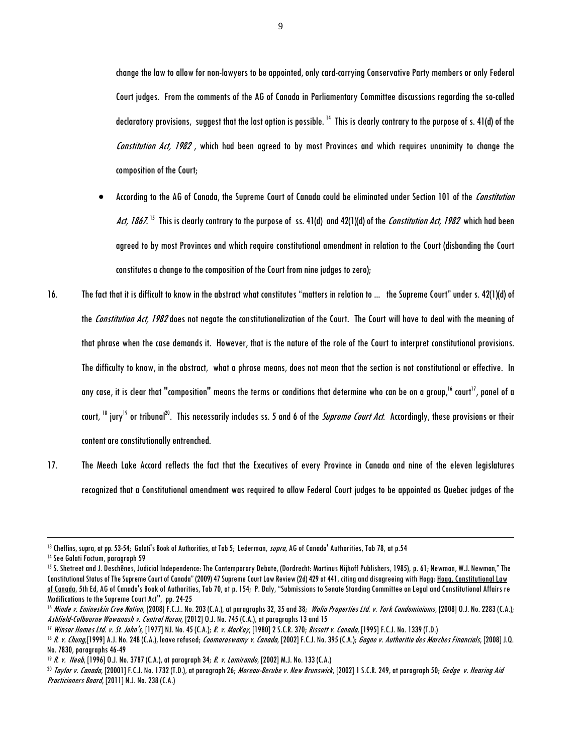change the law to allow for non-lawyers to be appointed, only card-carrying Conservative Party members or only Federal Court judges. From the comments of the AG of Canada in Parliamentary Committee discussions regarding the so-called declaratory provisions, suggest that the last option is possible. <sup>14</sup> This is clearly contrary to the purpose of s. 41(d) of the Constitution Act, 1982, which had been agreed to by most Provinces and which requires unanimity to change the composition of the Court;

- According to the AG of Canada, the Supreme Court of Canada could be eliminated under Section 101 of the *Constitution* Act, 1867. <sup>15</sup> This is clearly contrary to the purpose of ss. 41(d) and 42(1)(d) of the *Constitution Act, 1982* which had been agreed to by most Provinces and which require constitutional amendment in relation to the Court (disbanding the Court constitutes a change to the composition of the Court from nine judges to zero);
- 16. The fact that it is difficult to know in the abstract what constitutes "matters in relation to... the Supreme Court" under s. 42(1)(d) of the Constitution Act, 1982 does not negate the constitutionalization of the Court. The Court will have to deal with the meaning of that phrase when the case demands it. However, that is the nature of the role of the Court to interpret constitutional provisions. The difficulty to know, in the abstract, what a phrase means, does not mean that the section is not constitutional or effective. In any case, it is clear that "composition" means the terms or conditions that determine who can be on a group,<sup>16</sup> court<sup>17</sup>, panel of a court, <sup>18</sup> jury<sup>19</sup> or tribunal<sup>20</sup>. This necessarily includes ss. 5 and 6 of the *Supreme Court Act*. Accordingly, these provisions or their content are constitutionally entrenched.
- 17. The Meech Lake Accord reflects the fact that the Executives of every Province in Canada and nine of the eleven legislatures recognized that a Constitutional amendment was required to allow Federal Court judges to be appointed as Quebec judges of the

<sup>&</sup>lt;sup>13</sup> Cheffins, supra, at pp. 53-54; Galati's Book of Authorities, at Tab 5; Lederman, *supra*, AG of Canada' Authorities, Tab 78, at p.54

<sup>14</sup> See Galati Factum, paragraph 59

<sup>15</sup> S. Shetreet and J. Deschênes, Judicial Independence: The Contemporary Debate, (Dordrecht: Martinus Nijhoff Publishers, 1985), p. 61; Newman, W.J. Newman," The Constitutional Status of The Supreme Court of Canada" (2009) 47 Supreme Court Law Review (2d) 429 at 441, citing and disagreeing with Hogg; Hogg, Constitutional Law of Canada, 5th Ed, AG of Canada's Book of Authorities, Tab 70, at p. 154; P. Daly, "Submissions to Senate Standing Committee on Legal and Constitutional Affairs re Modifications to the Supreme Court Act", pp. 24-25

<sup>&</sup>lt;sup>16</sup> Minde v. Emineskin Cree Nation, [2008] F.C.J.. No. 203 (C.A.), at paragraphs 32, 35 and 38; Walia Properties Ltd. v. York Condominiums, [2008] O.J. No. 2283 (C.A.); Ashfield-Colbourne Wawanash v. Central Huron, [2012] O.J. No. 745 (C.A.), at paragraphs 13 and 15

<sup>&</sup>lt;sup>17</sup> Winsor Homes Ltd. v. St. John's, [1977] NJ. No. 45 (C.A.); R. v. MacKay, [1980] 2 S.C.R. 370; Bissett v. Canada, [1995] F.C.J. No. 1339 (T.D.)

<sup>&</sup>lt;sup>18</sup> R. v. Chung,[1999] A.J. No. 248 (C.A.), leave refused; Coomaraswamy v. Canada, [2002] F.C.J. No. 395 (C.A.); Gagne v. Authoritie des Marches Financials, [2008] J.Q. No. 7830, paragraphs 46-49

<sup>&</sup>lt;sup>19</sup> R. v. Neeb, [1996] O.J. No. 3787 (C.A.), at paragraph 34; R. v. Lamirande, [2002] M.J. No. 133 (C.A.)

<sup>&</sup>lt;sup>20</sup> Taylor v. Canada, [20001] F.C.J. No. 1732 (T.D.), at paragraph 26; Moreau-Berube v. New Brunswick, [2002] 1 S.C.R. 249, at paragraph 50; Gedge v. Hearing Aid Practicioners Board, [2011] N.J. No. 238 (C.A.)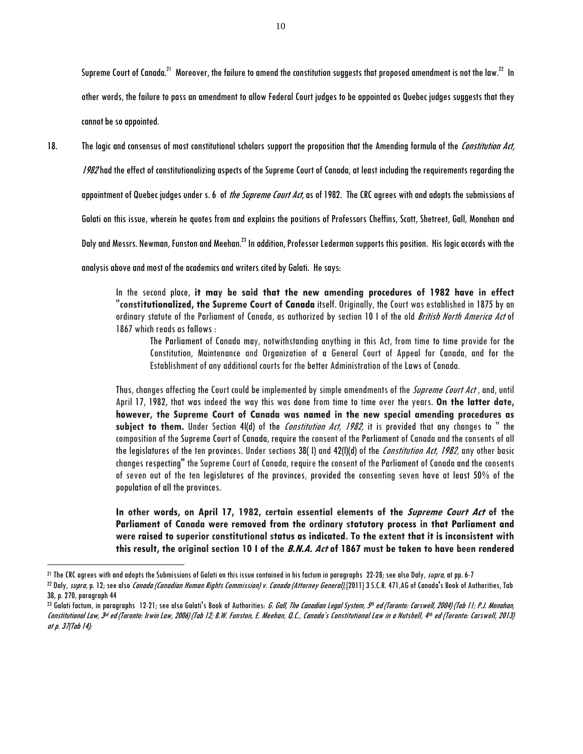Supreme Court of Canada. $^{21}$  Moreover, the failure to amend the constitution suggests that proposed amendment is not the law. $^{22}$  In other words, the failure to pass an amendment to allow Federal Court judges to be appointed as Quebec judges suggests that they cannot be so appointed.

18. The logic and consensus of most constitutional scholars support the proposition that the Amending formula of the Constitution Act,

1982 had the effect of constitutionalizing aspects of the Supreme Court of Canada, at least including the requirements regarding the

appointment of Quebec judges under s. 6 of *the Supreme Court Act*, as of 1982. The CRC agrees with and adopts the submissions of

Galati on this issue, wherein he quotes from and explains the positions of Professors Cheffins, Scott, Shetreet, Gall, Monahan and

Daly and Messrs. Newman, Funston and Meehan.<sup>23</sup> In addition, Professor Lederman supports this position. His logic accords with the

analysis above and most of the academics and writers cited by Galati. He says:

In the second place, **it may be said that the new amending procedures of 1982 have in effect "constitutionalized, the Supreme Court of Canada** itself. Originally, the Court was established in 1875 by an ordinary statute of the Parliament of Canada, as authorized by section 10 I of the old *British North America Act* of 1867 which reads as follows :

The Parliament of Canada may, notwithstanding anything in this Act, from time to time provide for the Constitution, Maintenance and Organization of a General Court of Appeal for Canada, and for the Establishment of any additional courts for the better Administration of the Laws of Canada.

Thus, changes affecting the Court could be implemented by simple amendments of the Supreme Court Act, and, until April 17, 1982, that was indeed the way this was done from time to time over the years. **On the latter date, however, the Supreme Court of Canada was named in the new special amending procedures as**  subject to them. Under Section 4l(d) of the *Constitution Act, 1982*, it is provided that any changes to " the composition of the Supreme Court of Canada, require the consent of the Parliament of Canada and the consents of all the legislatures of the ten provinces. Under sections 38(1) and 42(I)(d) of the Constitution Act, 1982, any other basic changes respecting" the Supreme Court of Canada, require the consent of the Parliament of Canada and the consents of seven out of the ten legislatures of the provinces, provided the consenting seven have at least 50% of the population of all the provinces.

**In other words, on April 17, 1982, certain essential elements of the Supreme Court Act of the Parliament of Canada were removed from the ordinary statutory process in that Parliament and were raised to superior constitutional status as indicated. To the extent that it is inconsistent with this result, the original section 10 I of the B.N.A. Act of 1867 must be taken to have been rendered** 

<sup>&</sup>lt;sup>21</sup> The CRC agrees with and adopts the Submissions of Galati on this issue contained in his factum in paragraphs 22-28; see also Daly, supra, at pp. 6-7

<sup>&</sup>lt;sup>22</sup> Daly, supra, p. 12; see also Canada (Canadian Human Rights Commission) v. Canada (Attorney General),[2011] 3 S.C.R. 471,AG of Canada's Book of Authorities, Tab 38, p. 270, paragraph 44

<sup>&</sup>lt;sup>23</sup> Galati factum, in paragraphs  $\,$  12-21; see also Galati's Book of Authorities: *G. Gall, The Canadian Legal System, 9t<sup>h</sup> ed (Toronto: Carswell, 2004) (Tab 11; P.J. Monahan,* Constitutional Law, 3d ed (Toronto: Irwin Law, 2006) (Tab 12; B.W. Funston, E. Meehan, Q.C., Canada's Constitutional Law in a Nutshell, 4th ed (Toronto: Carswell, 2013) at p. 37(Tab 14);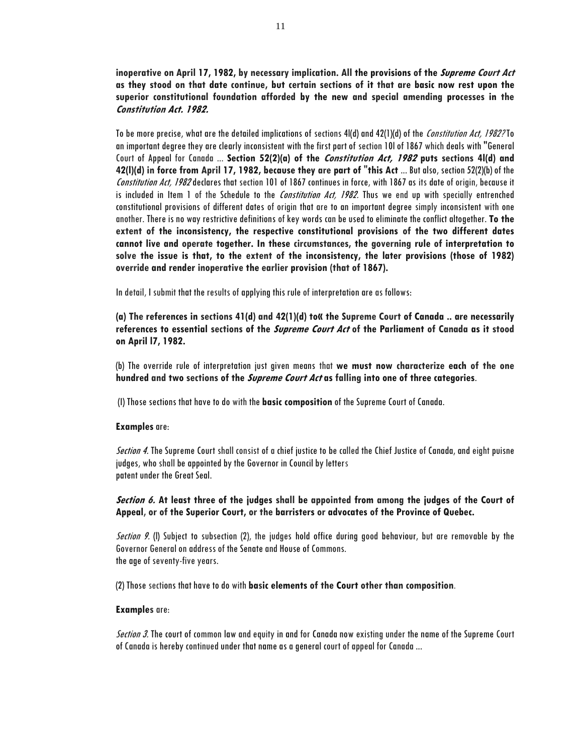**inoperative on April 17, 1982, by necessary implication. All the provisions of the Supreme Court Act as they stood on that date continue, but certain sections of it that are basic now rest upon the superior constitutional foundation afforded by the new and special amending processes in the Constitution Act. 1982.**

To be more precise, what are the detailed implications of sections 4|(d) and 42(1)(d) of the Constitution Act, 1982? To an important degree they are clearly inconsistent with the first part of section 10l of 1867 which deals with "General Court of Appeal for Canada ... **Section 52(2)(a) of the Constitution Act, 1982 puts sections 4l(d) and 42(l)(d) in force from April 17, 1982, because they are part of "this Act** ... But also, section 52(2)(b) of the Constitution Act, 1982 declares that section 101 of 1867 continues in force, with 1867 as its date of origin, because it is included in Item 1 of the Schedule to the *Constitution Act, 1982*. Thus we end up with specially entrenched constitutional provisions of different dates of origin that are to an important degree simply inconsistent with one another. There is no way restrictive definitions of key words can be used to eliminate the conflict altogether. **To the extent of the inconsistency, the respective constitutional provisions of the two different dates cannot live and operate together. In these circumstances, the governing rule of interpretation to solve the issue is that, to the extent of the inconsistency, the later provisions (those of 1982) override and render inoperative the earlier provision (that of 1867).**

In detail, I submit that the results of applying this rule of interpretation are as follows:

**(a) The references in sections 41(d) and 42(1)(d) to« the Supreme Court of Canada .. are necessarily references to essential sections of the Supreme Court Act of the Parliament of Canada as it stood on April l7, 1982.**

(b) The override rule of interpretation just given means that **we must now characterize each of the one hundred and two sections of the Supreme Court Act as falling into one of three categories**.

(I) Those sections that have to do with the **basic composition** of the Supreme Court of Canada.

### **Examples**are:

Section 4. The Supreme Court shall consist of a chief justice to be called the Chief Justice of Canada, and eight puisne judges, who shall be appointed by the Governor in Council by letters patent under the Great Seal.

# **Section 6. At least three of the judges shall be appointed from among the judges of the Court of Appeal, or of the Superior Court, or the barristers or advocates of the Province of Quebec.**

Section 9. (I) Subject to subsection (2), the judges hold office during good behaviour, but are removable by the Governor General on address of the Senate and House of Commons. the age of seventy-five years.

(2) Those sections that have to do with **basic elements of the Court other than composition**.

### **Examples** are:

Section 3. The court of common law and equity in and for Canada now existing under the name of the Supreme Court of Canada is hereby continued under that name as a general court of appeal for Canada ...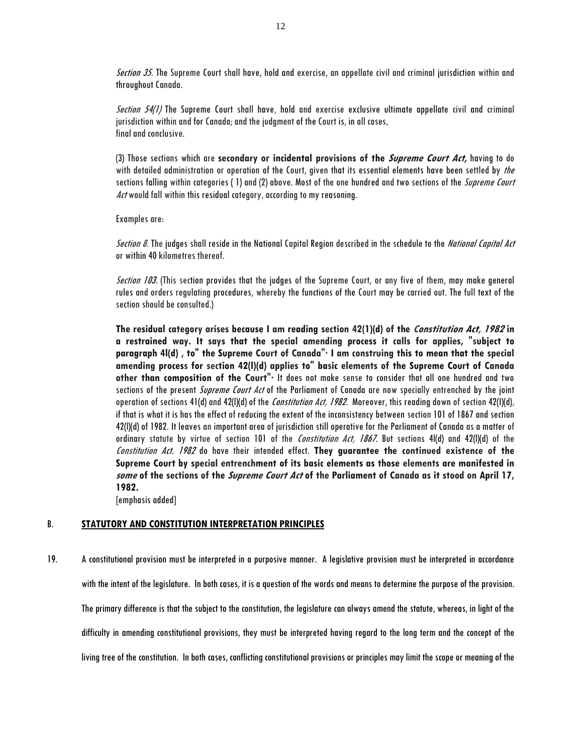Section 35. The Supreme Court shall have, hold and exercise, an appellate civil and criminal jurisdiction within and throughout Canada.

Section 54(1) The Supreme Court shall have, hold and exercise exclusive ultimate appellate civil and criminal jurisdiction within and for Canada; and the judgment of the Court is, in all cases, final and conclusive.

(3) Those sections which are **secondary or incidental provisions of the Supreme Court Act,** having to do with detailed administration or operation of the Court, given that its essential elements have been settled by the sections falling within categories (1) and (2) above. Most of the one hundred and two sections of the *Supreme Court* Act would fall within this residual category, according to my reasoning.

Examples are:

Section 8. The judges shall reside in the National Capital Region described in the schedule to the *National Capital Act* or within 40 kilometres thereof.

Section 103. (This section provides that the judges of the Supreme Court, or any five of them, may make general rules and orders regulating procedures, whereby the functions of the Court may be carried out. The full text of the section should be consulted.)

**The residual category arises because I am reading section 42(1)(d) of the Constitution Act, 1982 in a restrained way. It says that the special amending process it calls for applies, "subject to paragraph 4l(d) , to" the Supreme Court of Canada"· I am construing this to mean that the special amending process for section 42(l)(d) applies to" basic elements of the Supreme Court of Canada other than composition of the Court"·** It does not make sense to consider that all one hundred and two sections of the present *Supreme Court Act* of the Parliament of Canada are now specially entrenched by the joint operation of sections 41(d) and 42(I)(d) of the *Constitution Act, 1982*. Moreover, this reading down of section 42(I)(d), if that is what it is has the effect of reducing the extent of the inconsistency between section 101 of 1867 and section 42(l)(d) of 1982. It leaves an important area of jurisdiction still operative for the Parliament of Canada as a matter of ordinary statute by virtue of section 101 of the *Constitution Act, 1867*. But sections 4I(d) and 42(I)(d) of the Constitution Act. 1982 do have their intended effect. **They guarantee the continued existence of the Supreme Court by special entrenchment of its basic elements as those elements are manifested in some of the sections of the Supreme Court Act of the Parliament of Canada as it stood on April 17, 1982.**

[emphasis added]

# B. **STATUTORY AND CONSTITUTION INTERPRETATION PRINCIPLES**

19. A constitutional provision must be interpreted in a purposive manner. A legislative provision must be interpreted in accordance with the intent of the legislature. In both cases, it is a question of the words and means to determine the purpose of the provision. The primary difference is that the subject to the constitution, the legislature can always amend the statute, whereas, in light of the difficulty in amending constitutional provisions, they must be interpreted having regard to the long term and the concept of the living tree of the constitution. In both cases, conflicting constitutional provisions or principles may limit the scope or meaning of the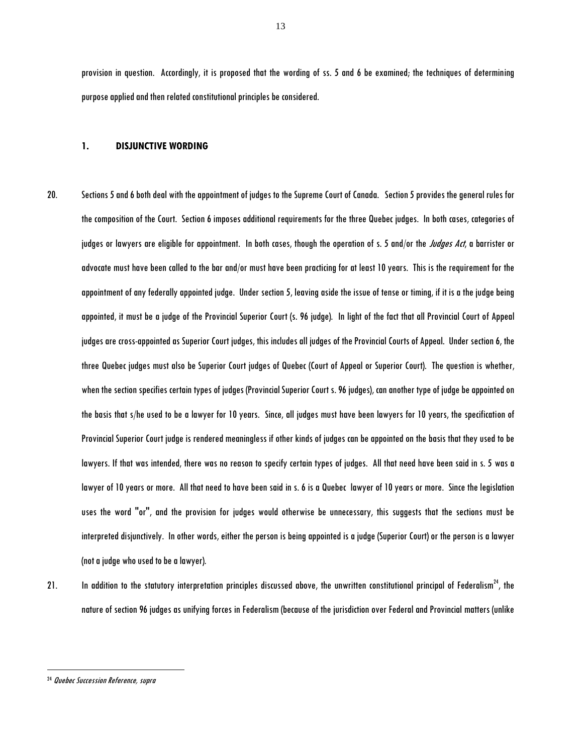provision in question. Accordingly, it is proposed that the wording of ss. 5 and 6 be examined; the techniques of determining purpose applied and then related constitutional principles be considered.

#### **1. DISJUNCTIVE WORDING**

- 20. Sections 5 and 6 both deal with the appointment of judges to the Supreme Court of Canada. Section 5 provides the general rules for the composition of the Court. Section 6 imposes additional requirements for the three Quebec judges. In both cases, categories of judges or lawyers are eligible for appointment. In both cases, though the operation of s. 5 and/or the Judges Act, a barrister or advocate must have been called to the bar and/or must have been practicing for at least 10 years. This is the requirement for the appointment of any federally appointed judge. Under section 5, leaving aside the issue of tense or timing, if it is a the judge being appointed, it must be a judge of the Provincial Superior Court (s. 96 judge). In light of the fact that all Provincial Court of Appeal judges are cross-appointed as Superior Court judges, this includes all judges of the Provincial Courts of Appeal. Under section 6, the three Quebec judges must also be Superior Court judges of Quebec (Court of Appeal or Superior Court). The question is whether, when the section specifies certain types of judges (Provincial Superior Court s. 96 judges), can another type of judge be appointed on the basis that s/he used to be a lawyer for 10 years. Since, all judges must have been lawyers for 10 years, the specification of Provincial Superior Court judge is rendered meaningless if other kinds of judges can be appointed on the basis that they used to be lawyers. If that was intended, there was no reason to specify certain types of judges. All that need have been said in s. 5 was a lawyer of 10 years or more. All that need to have been said in s. 6 is a Quebec lawyer of 10 years or more. Since the legislation uses the word "or", and the provision for judges would otherwise be unnecessary, this suggests that the sections must be interpreted disjunctively. In other words, either the person is being appointed is a judge (Superior Court) or the person is a lawyer (not a judge who used to be a lawyer).
- 21. In addition to the statutory interpretation principles discussed above, the unwritten constitutional principal of Federalism<sup>24</sup>, the nature of section 96 judges as unifying forces in Federalism (because of the jurisdiction over Federal and Provincial matters (unlike

<sup>24</sup> Quebec Succession Reference, supra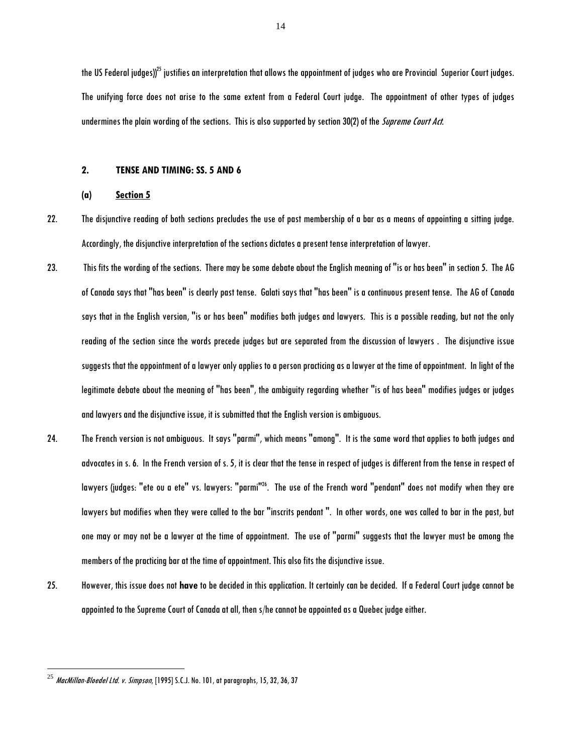the US Federal judges)) $^{25}$  justifies an interpretation that allows the appointment of judges who are Provincial Superior Court judges. The unifying force does not arise to the same extent from a Federal Court judge. The appointment of other types of judges undermines the plain wording of the sections. This is also supported by section 30(2) of the Supreme Court Act.

### **2. TENSE AND TIMING: SS. 5 AND 6**

### **(a) Section 5**

- 22. The disjunctive reading of both sections precludes the use of past membership of a bar as a means of appointing a sitting judge. Accordingly, the disjunctive interpretation of the sections dictates a present tense interpretation of lawyer.
- 23. This fits the wording of the sections. There may be some debate about the English meaning of "is or has been" in section 5. The AG of Canada says that "has been" is clearly past tense. Galati says that "has been" is a continuous present tense. The AG of Canada says that in the English version, "is or has been" modifies both judges and lawyers. This is a possible reading, but not the only reading of the section since the words precede judges but are separated from the discussion of lawyers . The disjunctive issue suggests that the appointment of a lawyer only applies to a person practicing as a lawyer at the time of appointment. In light of the legitimate debate about the meaning of "has been", the ambiguity regarding whether "is of has been" modifies judges or judges and lawyers and the disjunctive issue, it is submitted that the English version is ambiguous.
- 24. The French version is not ambiguous. It says "parmi", which means "among". It is the same word that applies to both judges and advocates in s. 6. In the French version of s. 5, it is clear that the tense in respect of judges is different from the tense in respect of lawyers (judges: "ete ou a ete" vs. lawyers: "parmi"<sup>26</sup>. The use of the French word "pendant" does not modify when they are lawyers but modifies when they were called to the bar "inscrits pendant ". In other words, one was called to bar in the past, but one may or may not be a lawyer at the time of appointment. The use of "parmi" suggests that the lawyer must be among the members of the practicing bar at the time of appointment. This also fits the disjunctive issue.
- 25. However, this issue does not **have** to be decided in this application. It certainly can be decided. If a Federal Court judge cannot be appointed to the Supreme Court of Canada at all, then s/he cannot be appointed as a Quebec judge either.

 $^{25}$  MacMillan-Bloedel Ltd. v. Simpson, [1995] S.C.J. No. 101, at paragraphs, 15, 32, 36, 37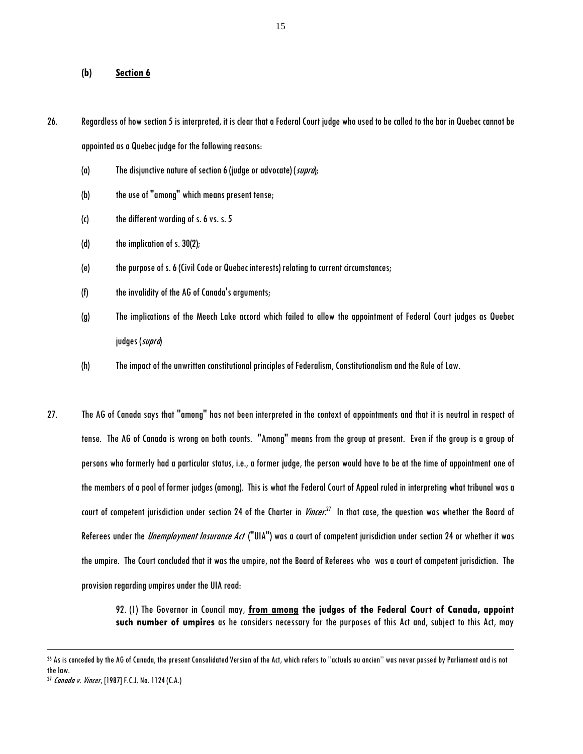### **(b) Section 6**

- 26. Regardless of how section 5 is interpreted, it is clear that a Federal Court judge who used to be called to the bar in Quebec cannot be appointed as a Quebec judge for the following reasons:
	- (a) The disjunctive nature of section 6 (judge or advocate) (supra);
	- (b) the use of "among" which means present tense;
	- (c) the different wording of s. 6 vs. s. 5
	- (d) the implication of s. 30(2);
	- (e) the purpose of s. 6 (Civil Code or Quebec interests) relating to current circumstances;
	- (f) the invalidity of the AG of Canada's arguments;
	- (g) The implications of the Meech Lake accord which failed to allow the appointment of Federal Court judges as Quebec judges (supra)
	- (h) The impact of the unwritten constitutional principles of Federalism, Constitutionalism and the Rule of Law.
- 27. The AG of Canada says that "among" has not been interpreted in the context of appointments and that it is neutral in respect of tense. The AG of Canada is wrong on both counts. "Among" means from the group at present. Even if the group is a group of persons who formerly had a particular status, i.e., a former judge, the person would have to be at the time of appointment one of the members of a pool of former judges (among). This is what the Federal Court of Appeal ruled in interpreting what tribunal was a court of competent jurisdiction under section 24 of the Charter in *Vincer.<sup>27</sup>* In that case, the question was whether the Board of Referees under the *Unemployment Insurance Act* ("UIA") was a court of competent jurisdiction under section 24 or whether it was the umpire. The Court concluded that it was the umpire, not the Board of Referees who was a court of competent jurisdiction. The provision regarding umpires under the UIA read:

92. (1) The Governor in Council may, **from among the judges of the Federal Court of Canada, appoint such number of umpires** as he considers necessary for the purposes of this Act and, subject to this Act, may

<sup>26</sup> As is conceded by the AG of Canada, the present Consolidated Version of the Act, which refers to ''actuels ou ancien'' was never passed by Parliament and is not the law.

<sup>27</sup> Canada v. Vincer, [1987] F.C.J. No. 1124 (C.A.)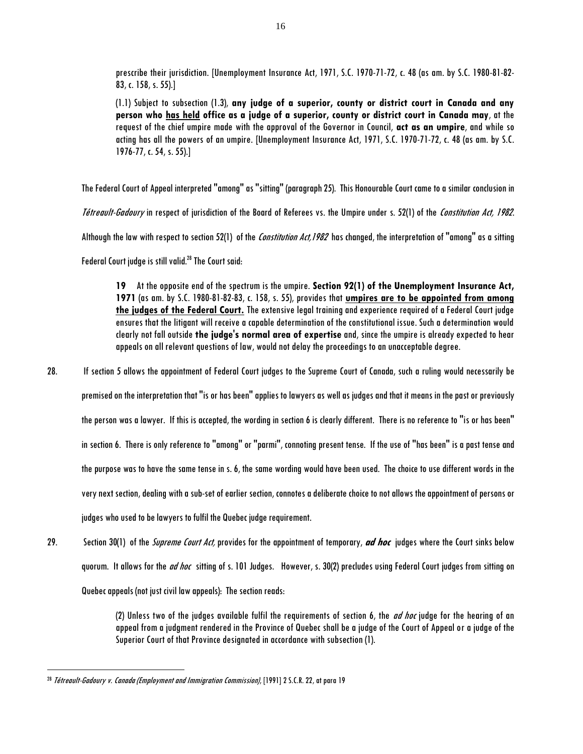prescribe their jurisdiction. [Unemployment Insurance Act, 1971, S.C. 1970-71-72, c. 48 (as am. by S.C. 1980-81-82- 83, c. 158, s. 55).]

(1.1) Subject to subsection (1.3), **any judge of a superior, county or district court in Canada and any person who has held office as a judge of a superior, county or district court in Canada may**, at the request of the chief umpire made with the approval of the Governor in Council, **act as an umpire**, and while so acting has all the powers of an umpire. [Unemployment Insurance Act, 1971, S.C. 1970-71-72, c. 48 (as am. by S.C. 1976-77, c. 54, s. 55).]

The Federal Court of Appeal interpreted "among" as "sitting" (paragraph 25). This Honourable Court came to a similar conclusion in

Tétreault-Gadoury in respect of jurisdiction of the Board of Referees vs. the Umpire under s. 52(1) of the Constitution Act, 1982.

Although the law with respect to section 52(1) of the Constitution Act, 1982 has changed, the interpretation of "among" as a sitting

Federal Court judge is still valid. $^{28}$  The Court said:

**19** At the opposite end of the spectrum is the umpire. **Section 92(1) of the Unemployment Insurance Act, 1971** (as am. by S.C. 1980-81-82-83, c. 158, s. 55), provides that **umpires are to be appointed from among the judges of the Federal Court.** The extensive legal training and experience required of a Federal Court judge ensures that the litigant will receive a capable determination of the constitutional issue. Such a determination would clearly not fall outside **the judge's normal area of expertise** and, since the umpire is already expected to hear appeals on all relevant questions of law, would not delay the proceedings to an unacceptable degree.

28. If section 5 allows the appointment of Federal Court judges to the Supreme Court of Canada, such a ruling would necessarily be premised on the interpretation that "is or has been" applies to lawyers as well as judges and that it means in the past or previously the person was a lawyer. If this is accepted, the wording in section 6 is clearly different. There is no reference to "is or has been" in section 6. There is only reference to "among" or "parmi", connoting present tense. If the use of "has been" is a past tense and the purpose was to have the same tense in s. 6, the same wording would have been used. The choice to use different words in the very next section, dealing with a sub-set of earlier section, connotes a deliberate choice to not allows the appointment of persons or judges who used to be lawyers to fulfil the Quebec judge requirement.

29. Section 30(1) of the Supreme Court Act, provides for the appointment of temporary, **ad hoc** judges where the Court sinks below guorum. It allows for the *ad hoc* sitting of s. 101 Judges. However, s. 30(2) precludes using Federal Court judges from sitting on Quebec appeals (not just civil law appeals): The section reads:

> (2) Unless two of the judges available fulfil the requirements of section 6, the *ad hoc* judge for the hearing of an appeal from a judgment rendered in the Province of Quebec shall be a judge of the Court of Appeal or a judge of the Superior Court of that Province designated in accordance with subsection (1).

<sup>&</sup>lt;sup>28</sup> Tétreault-Gadoury v. Canada (Employment and Immigration Commission), [1991] 2 S.C.R. 22, at para 19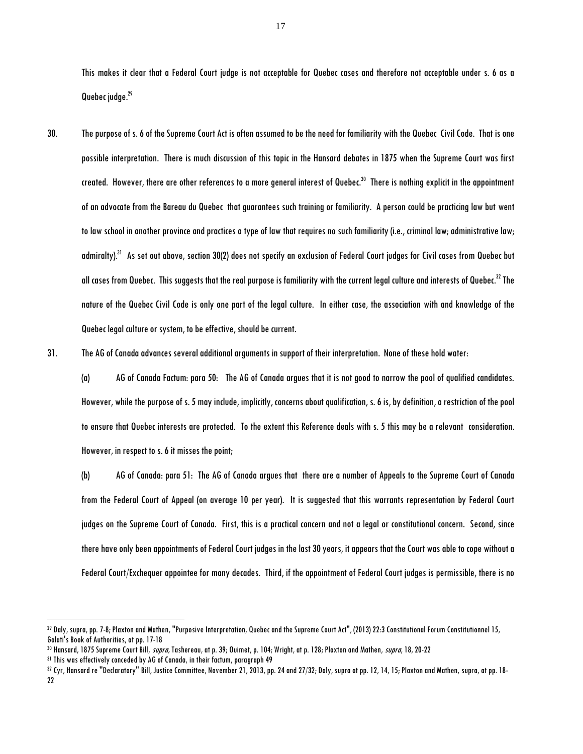This makes it clear that a Federal Court judge is not acceptable for Quebec cases and therefore not acceptable under s. 6 as a Quebec judge.<sup>29</sup>

30. The purpose of s. 6 of the Supreme Court Act is often assumed to be the need for familiarity with the Quebec Civil Code. That is one possible interpretation. There is much discussion of this topic in the Hansard debates in 1875 when the Supreme Court was first created. However, there are other references to a more general interest of Quebec.<sup>30</sup> There is nothing explicit in the appointment of an advocate from the Bareau du Quebec that guarantees such training or familiarity. A person could be practicing law but went to law school in another province and practices a type of law that requires no such familiarity (i.e., criminal law; administrative law; admiralty).<sup>31</sup> As set out above, section 30(2) does not specify an exclusion of Federal Court judges for Civil cases from Quebec but all cases from Quebec. This suggests that the real purpose is familiarity with the current legal culture and interests of Quebec.<sup>32</sup> The nature of the Quebec Civil Code is only one part of the legal culture. In either case, the association with and knowledge of the Quebec legal culture or system, to be effective, should be current.

31. The AG of Canada advances several additional arguments in support of their interpretation. None of these hold water:

(a) AG of Canada Factum: para 50: The AG of Canada argues that it is not good to narrow the pool of qualified candidates. However, while the purpose of s. 5 may include, implicitly, concerns about qualification, s. 6 is, by definition, a restriction of the pool to ensure that Quebec interests are protected. To the extent this Reference deals with s. 5 this may be a relevant consideration. However, in respect to s. 6 it misses the point;

(b) AG of Canada: para 51: The AG of Canada argues that there are a number of Appeals to the Supreme Court of Canada from the Federal Court of Appeal (on average 10 per year). It is suggested that this warrants representation by Federal Court judges on the Supreme Court of Canada. First, this is a practical concern and not a legal or constitutional concern. Second, since there have only been appointments of Federal Court judges in the last 30 years, it appears that the Court was able to cope without a Federal Court/Exchequer appointee for many decades. Third, if the appointment of Federal Court judges is permissible, there is no

<sup>29</sup> Daly, supra, pp. 7-8; Plaxton and Mathen, "Purposive Interpretation, Quebec and the Supreme Court Act", (2013) 22:3 Constitutional Forum Constitutionnel 15, Galati's Book of Authorities, at pp. 17-18

<sup>&</sup>lt;sup>30</sup> Hansard, 1875 Supreme Court Bill, *supra,* Tashereau, at p. 39; Ouimet, p. 104; Wright, at p. 128; Plaxton and Mathen, *supra*, 18, 20-22

<sup>31</sup> This was effectively conceded by AG of Canada, in their factum, paragraph 49

<sup>32</sup> Cyr, Hansard re "Declaratory" Bill, Justice Committee, November 21, 2013, pp. 24 and 27/32; Daly, supra at pp. 12, 14, 15; Plaxton and Mathen, supra, at pp. 18- 22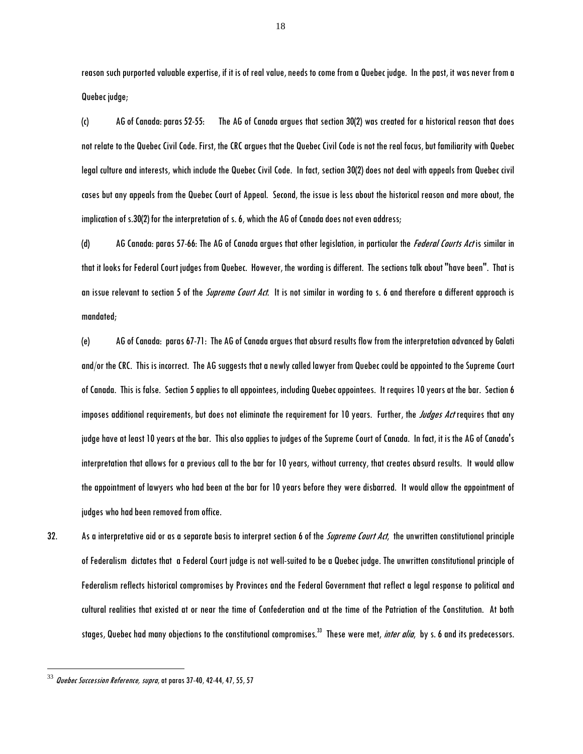reason such purported valuable expertise, if it is of real value, needs to come from a Quebec judge. In the past, it was never from a Quebec judge;

(c) AG of Canada: paras 52-55: The AG of Canada argues that section 30(2) was created for a historical reason that does not relate to the Quebec Civil Code. First, the CRC argues that the Quebec Civil Code is not the real focus, but familiarity with Quebec legal culture and interests, which include the Quebec Civil Code. In fact, section 30(2) does not deal with appeals from Quebec civil cases but any appeals from the Quebec Court of Appeal. Second, the issue is less about the historical reason and more about, the implication of s.30(2) for the interpretation of s. 6, which the AG of Canada does not even address;

(d) AG Canada: paras 57-66: The AG of Canada argues that other legislation, in particular the *Federal Courts Act* is similar in that it looks for Federal Court judges from Quebec. However, the wording is different. The sections talk about "have been". That is an issue relevant to section 5 of the *Supreme Court Act*. It is not similar in wording to s. 6 and therefore a different approach is mandated;

(e) AG of Canada: paras 67-71: The AG of Canada argues that absurd results flow from the interpretation advanced by Galati and/or the CRC. This is incorrect. The AG suggests that a newly called lawyer from Quebec could be appointed to the Supreme Court of Canada. This is false. Section 5 applies to all appointees, including Quebecappointees. It requires 10 years at the bar. Section 6 imposes additional requirements, but does not eliminate the requirement for 10 years. Further, the *Judges Act* requires that any judge have at least 10 years at the bar. This also applies to judgesof the Supreme Court of Canada. In fact, it is the AG of Canada's interpretation that allows for a previous call to the bar for 10 years, without currency, that creates absurd results. It would allow the appointment of lawyers who had been at the bar for 10 years before they were disbarred. It would allow the appointment of judges who had been removed from office.

32. As a interpretative aid or as a separate basis to interpret section 6 of the *Supreme Court Act*, the unwritten constitutional principle of Federalism dictates that a Federal Court judge is not well-suited to be a Quebec judge. The unwritten constitutional principle of Federalism reflects historical compromises by Provinces and the Federal Government that reflect a legal response to political and cultural realities that existed at or near the time of Confederation and at the time of the Patriation of the Constitution. At both stages, Quebec had many objections to the constitutional compromises.<sup>33</sup> These were met, *inter alia*, by s. 6 and its predecessors.

 $^{33}$  *Quebec Succession Reference, supra*, at paras 37-40, 42-44, 47, 55, 57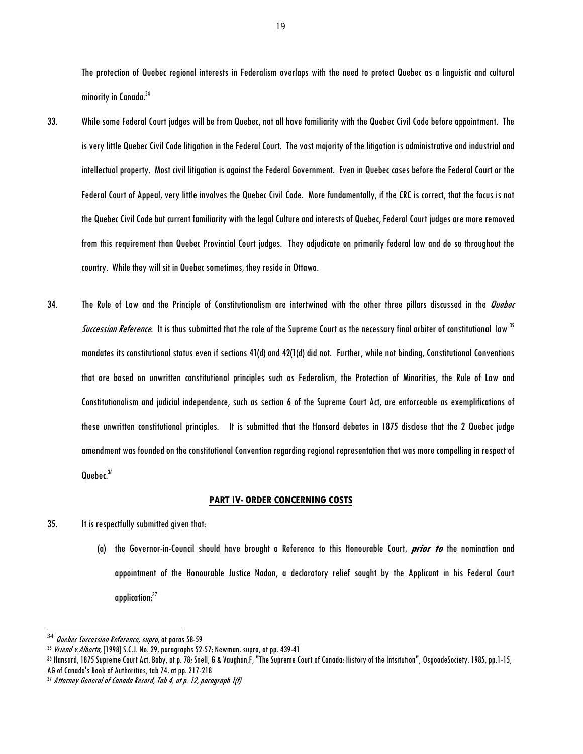The protection of Quebec regional interests in Federalism overlaps with the need to protect Quebec as a linguistic and cultural minority in Canada.<sup>34</sup>

- 33. While some Federal Court judges will be from Quebec, not all have familiarity with the Quebec Civil Code before appointment. The is very little Quebec Civil Code litigation in the Federal Court. The vast majority of the litigation is administrative and industrial and intellectual property. Most civil litigation is against the Federal Government. Even in Quebec cases before the Federal Court or the Federal Court of Appeal, very little involves the Quebec Civil Code. More fundamentally, if the CRC is correct, that the focus is not the Quebec Civil Code but current familiarity with the legal Culture and interests of Quebec, Federal Court judges are more removed from this requirement than Quebec Provincial Court judges. They adjudicate on primarily federal law and do so throughout the country. While they will sit in Quebec sometimes, they reside in Ottawa.
- 34. The Rule of Law and the Principle of Constitutionalism are intertwined with the other three pillars discussed in the Quebec Succession Reference. It is thus submitted that the role of the Supreme Court as the necessary final arbiter of constitutional law <sup>35</sup> mandates its constitutional status even if sections 41(d) and 42(1(d) did not. Further, while not binding, Constitutional Conventions that are based on unwritten constitutional principles such as Federalism, the Protection of Minorities, the Rule of Law and Constitutionalism and judicial independence, such as section 6 of the Supreme Court Act, are enforceable as exemplifications of these unwritten constitutional principles. It is submitted that the Hansard debates in 1875 disclose that the 2 Quebec judge amendment was founded on the constitutional Convention regarding regional representation that was more compelling in respect of Quebec.<sup>36</sup>  $\overline{a}$

#### **PART IV- ORDER CONCERNING COSTS**

- 35. It is respectfully submitted given that:
	- (a) the Governor-in-Council should have brought a Reference to this Honourable Court, **prior to** the nomination and appointment of the Honourable Justice Nadon, a declaratory relief sought by the Applicant in his Federal Court application;<sup>37</sup>

 $34$  Quebec Succession Reference, supra, at paras 58-59

<sup>&</sup>lt;sup>35</sup> Vriend v. Alberta, [1998] S.C.J. No. 29, paragraphs 52-57; Newman, supra, at pp. 439-41

<sup>36</sup> Hansard, 1875 Supreme Court Act, Baby, at p. 78; Snell, G & Vaughan,F, "The Supreme Court of Canada: History of the Intsitution", OsgoodeSociety, 1985, pp.1-15, AG of Canada's Book of Authorities, tab 74, at pp. 217-218

<sup>37</sup> Attorney General of Canada Record, Tab 4, at p. 12, paragraph 1(f)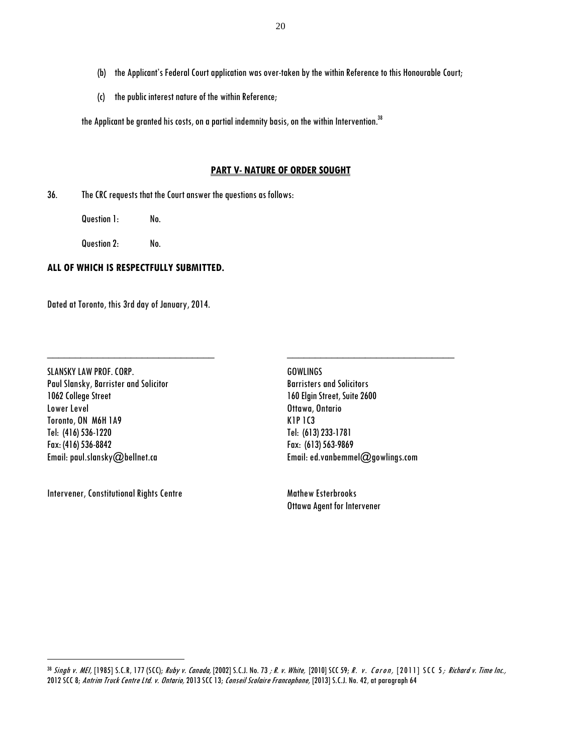- (b) the Applicant's Federal Court application was over-taken by the within Reference to this Honourable Court;
- (c) the public interestnature of the within Reference;

the Applicant be granted his costs, on a partial indemnity basis, on the within Intervention.<sup>38</sup>

### **PART V- NATURE OF ORDER SOUGHT**

36. The CRCrequests that the Court answer the questions as follows:

Question 1: No.

Question 2: No.

### **ALL OF WHICH IS RESPECTFULLY SUBMITTED.**

Dated at Toronto, this 3rd day of January, 2014.

SLANSKY LAW PROF. CORP. The contract of the contract of the GOWLINGS Paul Slansky, Barrister and Solicitor Barristers and Solicitors 1062 College Street 160 Elgin Street, Suite 2600 Lower Level **Contact Contact Contact Contact Contact Contact Contact Contact Contact Contact Contact Contact Contact Contact Contact Contact Contact Contact Contact Contact Contact Contact Contact Contact Contact Contact C** Toronto, ON M6H 1A9 K1P 1C3 Tel: (416) 536-1220 Tel: (613) 233-1781 Fax: (416) 536-8842 Fax: (613) 563-9869

Intervener, Constitutional Rights Centre Mathew Esterbrooks

 $\overline{a}$ 

**\_\_\_\_\_\_\_\_\_\_\_\_\_\_\_\_\_\_\_\_\_\_\_\_\_\_\_\_\_\_ \_\_\_\_\_\_\_\_\_\_\_\_\_\_\_\_\_\_\_\_\_\_\_\_\_\_\_\_\_\_**

Email: paul.slansky@bellnet.ca Email[: ed.vanbemmel@gowlings.com](mailto:ed.vanbemmel@gowlings.com)

Ottawa Agent for Intervener

<sup>38</sup> Singh v. MEI, [1985] S.C.R, 177 (SCC); Ruby v. Canada, [2002] S.C.J. No. 73 ; R. v. White, [2010] SCC 59; R. v. Caron, [2011] SCC 5; Richard v. Time Inc., 2012 SCC 8; Antrim Truck Centre Ltd. v. Ontario, 2013 SCC 13; Conseil Scolaire Francophone, [2013] S.C.J. No. 42, at paragraph 64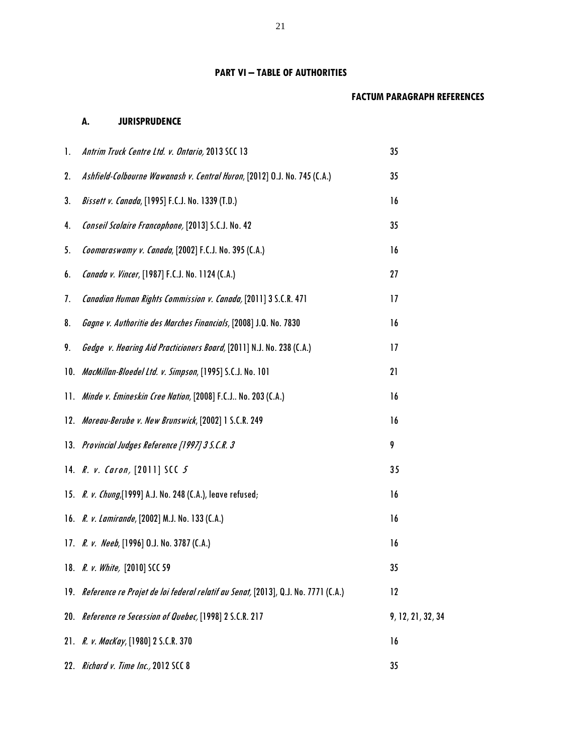# **PART VI – TABLE OF AUTHORITIES**

# **FACTUM PARAGRAPH REFERENCES**

# **A. JURISPRUDENCE**

| $\mathbf{l}$ . | Antrim Truck Centre Ltd. v. Ontario, 2013 SCC 13                                      | 35                |
|----------------|---------------------------------------------------------------------------------------|-------------------|
| 2.             | Ashfield-Colbourne Wawanash v. Central Huron, [2012] O.J. No. 745 (C.A.)              | 35                |
| 3.             | Bissett v. Canada, [1995] F.C.J. No. 1339 (T.D.)                                      | 16                |
| 4.             | Conseil Scolaire Francophone, [2013] S.C.J. No. 42                                    | 35                |
| 5.             | Coomaraswamy v. Canada, [2002] F.C.J. No. 395 (C.A.)                                  | 16                |
| 6.             | Canada v. Vincer, [1987] F.C.J. No. 1124 (C.A.)                                       | 27                |
| 7.             | Canadian Human Rights Commission v. Canada, [2011] 3 S.C.R. 471                       | 17                |
| 8.             | Gagne v. Authoritie des Marches Financials, [2008] J.Q. No. 7830                      | 16                |
| 9.             | Gedge v. Hearing Aid Practicioners Board, [2011] N.J. No. 238 (C.A.)                  | 17                |
|                | 10. MacMillan-Bloedel Ltd. v. Simpson, [1995] S.C.J. No. 101                          | 21                |
|                | 11. Minde v. Emineskin Cree Nation, [2008] F.C.J No. 203 (C.A.)                       | 16                |
|                | 12. Moreau-Berube v. New Brunswick, [2002] 1 S.C.R. 249                               | 16                |
|                | 13. Provincial Judges Reference [1997] 3 S.C.R. 3                                     | 9                 |
|                | 14. $R. v. Caron, [2011] SCC.5$                                                       | 35                |
|                | 15. R. v. Chung, [1999] A.J. No. 248 (C.A.), leave refused;                           | 16                |
|                | 16. R. v. Lamirande, [2002] M.J. No. 133 (C.A.)                                       | 16                |
|                | 17. R. v. Neeb, [1996] O.J. No. 3787 (C.A.)                                           | 16                |
|                | 18. R. v. White, [2010] SCC 59                                                        | 35                |
|                | 19. Reference re Projet de loi federal relatif au Senat, [2013], Q.J. No. 7771 (C.A.) | 12                |
|                | 20. Reference re Secession of Quebec, [1998] 2 S.C.R. 217                             | 9, 12, 21, 32, 34 |
|                | 21. R. v. MacKay, [1980] 2 S.C.R. 370                                                 | 16                |
|                | 22. Richard v. Time Inc., 2012 SCC 8                                                  | 35                |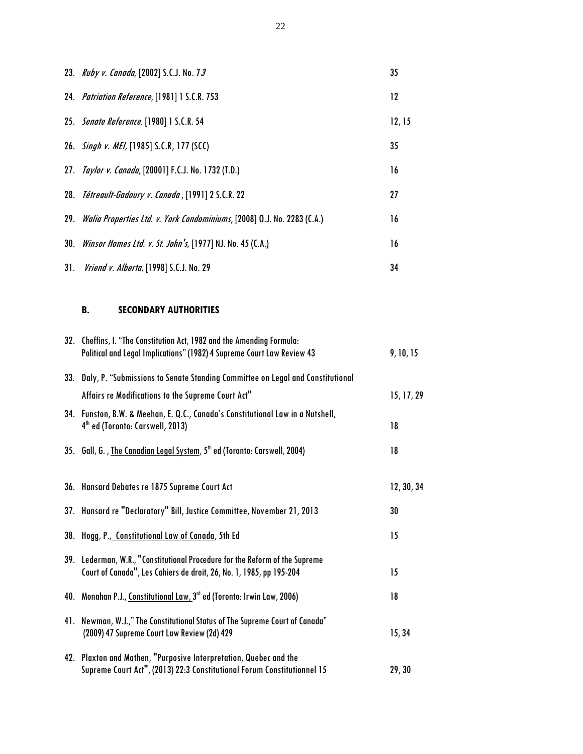|     | 23. Ruby v. Canada, [2002] S.C.J. No. 73                                    | 35     |
|-----|-----------------------------------------------------------------------------|--------|
|     | 24. Patriation Reference, [1981] 1 S.C.R. 753                               | 12     |
|     | 25. Senate Reference, [1980] 1 S.C.R. 54                                    | 12, 15 |
|     | 26. Singh v. MEI, [1985] S.C.R, 177 (SCC)                                   | 35     |
|     | 27. Taylor v. Canada, [20001] F.C.J. No. 1732 (T.D.)                        | 16     |
|     | 28. Tétreault-Gadoury v. Canada, [1991] 2 S.C.R. 22                         | 27     |
|     | 29. Walia Properties Ltd. v. York Condominiums, [2008] O.J. No. 2283 (C.A.) | 16     |
|     | 30. Winsor Homes Ltd. v. St. John's, [1977] NJ. No. 45 (C.A.)               | 16     |
| 31. | <i>Vriend v. Alberta</i> , [1998] S.C.J. No. 29                             | 34     |

# **B. SECONDARY AUTHORITIES**

| 32. Cheffins, I. "The Constitution Act, 1982 and the Amending Formula:<br>Political and Legal Implications" (1982) 4 Supreme Court Law Review 43   | 9, 10, 15  |
|----------------------------------------------------------------------------------------------------------------------------------------------------|------------|
| 33. Daly, P. "Submissions to Senate Standing Committee on Legal and Constitutional                                                                 |            |
| Affairs re Modifications to the Supreme Court Act"                                                                                                 | 15, 17, 29 |
| 34. Funston, B.W. & Meehan, E. Q.C., Canada's Constitutional Law in a Nutshell,<br>4 <sup>th</sup> ed (Toronto: Carswell, 2013)                    | 18         |
| 35. Gall, G., <u>The Canadian Legal System</u> , 5 <sup>th</sup> ed (Toronto: Carswell, 2004)                                                      | 18         |
| 36. Hansard Debates re 1875 Supreme Court Act                                                                                                      | 12, 30, 34 |
| 37. Hansard re "Declaratory" Bill, Justice Committee, November 21, 2013                                                                            | 30         |
| 38. Hogg, P., Constitutional Law of Canada, 5th Ed                                                                                                 | 15         |
| 39. Lederman, W.R., "Constitutional Procedure for the Reform of the Supreme<br>Court of Canada", Les Cahiers de droit, 26, No. 1, 1985, pp 195-204 | 15         |
| 40. Monahan P.J., Constitutional Law, 3rd ed (Toronto: Irwin Law, 2006)                                                                            | 18         |
| 41. Newman, W.J.," The Constitutional Status of The Supreme Court of Canada"<br>(2009) 47 Supreme Court Law Review (2d) 429                        | 15, 34     |
| 42. Plaxton and Mathen, "Purposive Interpretation, Quebec and the<br>Supreme Court Act", (2013) 22:3 Constitutional Forum Constitutionnel 15       | 29, 30     |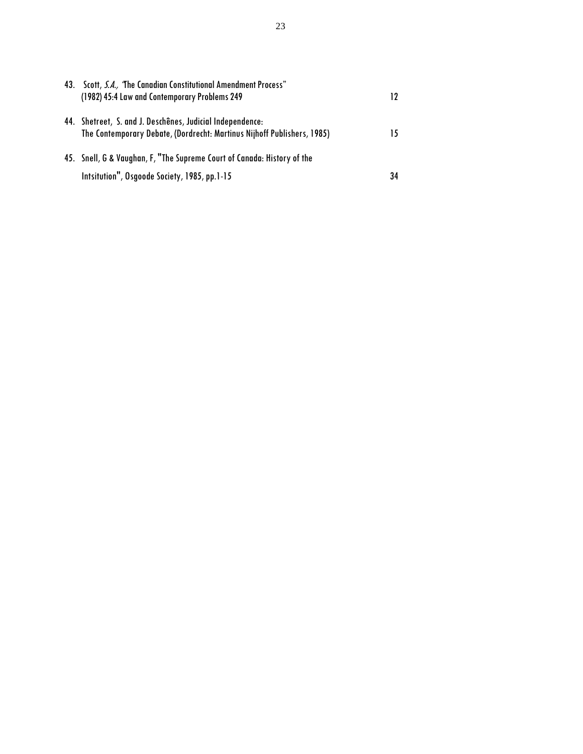| 43. | Scott, S.A., 'The Canadian Constitutional Amendment Process"<br>(1982) 45:4 Law and Contemporary Problems 249                    |    |
|-----|----------------------------------------------------------------------------------------------------------------------------------|----|
| 44. | Shetreet, S. and J. Deschênes, Judicial Independence:<br>The Contemporary Debate, (Dordrecht: Martinus Nijhoff Publishers, 1985) |    |
|     | 45. Snell, G & Vaughan, F, "The Supreme Court of Canada: History of the                                                          |    |
|     | Intsitution", Osgoode Society, 1985, pp.1-15                                                                                     | 34 |